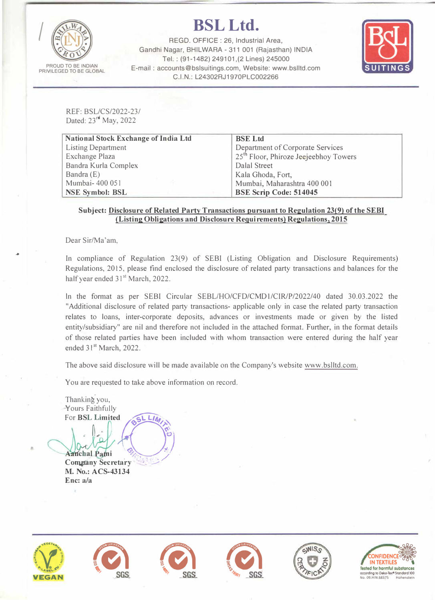

## *I* **BSLLtd.**

REGO. OFFICE : 26, Industrial Area, Gandhi Nagar, BHILWARA - 311 001 (Rajasthan) INDIA Tel.: (91-1482) 249101,(2 Lines) 245000 E-mail : accounts@bslsuitings.com, Website: www.bslltd.com C.I.N.: L24302RJ1970PLC002266



REF: BSL/CS/2022-23/ Dated: 23<sup>rd</sup> May, 2022

| <b>National Stock Exchange of India Ltd</b> | <b>BSE</b> Ltd                                    |  |  |  |  |  |  |  |
|---------------------------------------------|---------------------------------------------------|--|--|--|--|--|--|--|
| <b>Listing Department</b>                   | Department of Corporate Services                  |  |  |  |  |  |  |  |
| <b>Exchange Plaza</b>                       | 25 <sup>th</sup> Floor, Phiroze Jeejeebhoy Towers |  |  |  |  |  |  |  |
| Bandra Kurla Complex                        | Dalal Street                                      |  |  |  |  |  |  |  |
| Bandra (E)                                  | Kala Ghoda, Fort,                                 |  |  |  |  |  |  |  |
| Mumbai- 400 051                             | Mumbai, Maharashtra 400 001                       |  |  |  |  |  |  |  |
| <b>NSE Symbol: BSL</b>                      | <b>BSE Scrip Code: 514045</b>                     |  |  |  |  |  |  |  |

## **Subject: Disclosure of Related Party Transactions pursuant to Regulation 23(9) of the SEBI (Listing Obligations and Disclosure Requirements) Regulations, 2015**

Dear Sir/Ma'am,

...

In compliance of Regulation 23(9) of SEBI (Listing Obligation and Disclosure Requirements) Regulations, 2015, please find enclosed the disclosure of related party transactions and balances for the half year ended 31<sup>st</sup> March, 2022.

In the format as per SEBI Circular SEBL/HO/CFD/CMDl/CIR/P/2022/40 dated 30.03.2022 the "Additional disclosure of related party transactions- applicable only in case the related party transaction relates to loans, inter-corporate deposits, advances or investments made or given by the listed entity/subsidiary" are nil and therefore not included in the attached format. Further, in the format details of those related parties have been included with whom transaction were entered during the half year ended 31<sup>st</sup> March, 2022.

The above said disclosure will be made available on the Company's website www.bslltd.com.

You are requested to take above information on record.

Thankin� you, Yours Faithfully **For BSL Limited** fully<br>mited **b**<sup>51</sup> L*IMA* 

 $\mathbb{I}$ 

 $A$ anchal Patni **Company Secretary M. No.: ACS-43134 Enc: a/a**